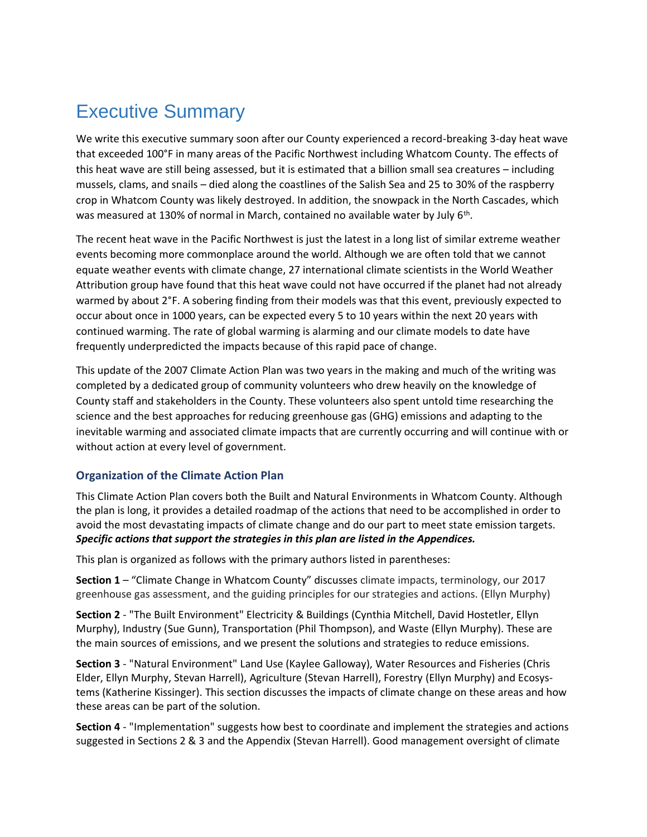# Executive Summary

We write this executive summary soon after our County experienced a record-breaking 3-day heat wave that exceeded 100°F in many areas of the Pacific Northwest including Whatcom County. The effects of this heat wave are still being assessed, but it is estimated that a billion small sea creatures – including mussels, clams, and snails – died along the coastlines of the Salish Sea and 25 to 30% of the raspberry crop in Whatcom County was likely destroyed. In addition, the snowpack in the North Cascades, which was measured at 130% of normal in March, contained no available water by July 6<sup>th</sup>.

The recent heat wave in the Pacific Northwest is just the latest in a long list of similar extreme weather events becoming more commonplace around the world. Although we are often told that we cannot equate weather events with climate change, 27 international climate scientists in the World Weather Attribution group have found that this heat wave could not have occurred if the planet had not already warmed by about 2°F. A sobering finding from their models was that this event, previously expected to occur about once in 1000 years, can be expected every 5 to 10 years within the next 20 years with continued warming. The rate of global warming is alarming and our climate models to date have frequently underpredicted the impacts because of this rapid pace of change.

This update of the 2007 Climate Action Plan was two years in the making and much of the writing was completed by a dedicated group of community volunteers who drew heavily on the knowledge of County staff and stakeholders in the County. These volunteers also spent untold time researching the science and the best approaches for reducing greenhouse gas (GHG) emissions and adapting to the inevitable warming and associated climate impacts that are currently occurring and will continue with or without action at every level of government.

#### **Organization of the Climate Action Plan**

This Climate Action Plan covers both the Built and Natural Environments in Whatcom County. Although the plan is long, it provides a detailed roadmap of the actions that need to be accomplished in order to avoid the most devastating impacts of climate change and do our part to meet state emission targets. *Specific actions that support the strategies in this plan are listed in the Appendices.*

This plan is organized as follows with the primary authors listed in parentheses:

**Section 1** – "Climate Change in Whatcom County" discusses climate impacts, terminology, our 2017 greenhouse gas assessment, and the guiding principles for our strategies and actions. (Ellyn Murphy)

**Section 2** - "The Built Environment" Electricity & Buildings (Cynthia Mitchell, David Hostetler, Ellyn Murphy), Industry (Sue Gunn), Transportation (Phil Thompson), and Waste (Ellyn Murphy). These are the main sources of emissions, and we present the solutions and strategies to reduce emissions.

**Section 3** - "Natural Environment" Land Use (Kaylee Galloway), Water Resources and Fisheries (Chris Elder, Ellyn Murphy, Stevan Harrell), Agriculture (Stevan Harrell), Forestry (Ellyn Murphy) and Ecosystems (Katherine Kissinger). This section discusses the impacts of climate change on these areas and how these areas can be part of the solution.

**Section 4** - "Implementation" suggests how best to coordinate and implement the strategies and actions suggested in Sections 2 & 3 and the Appendix (Stevan Harrell). Good management oversight of climate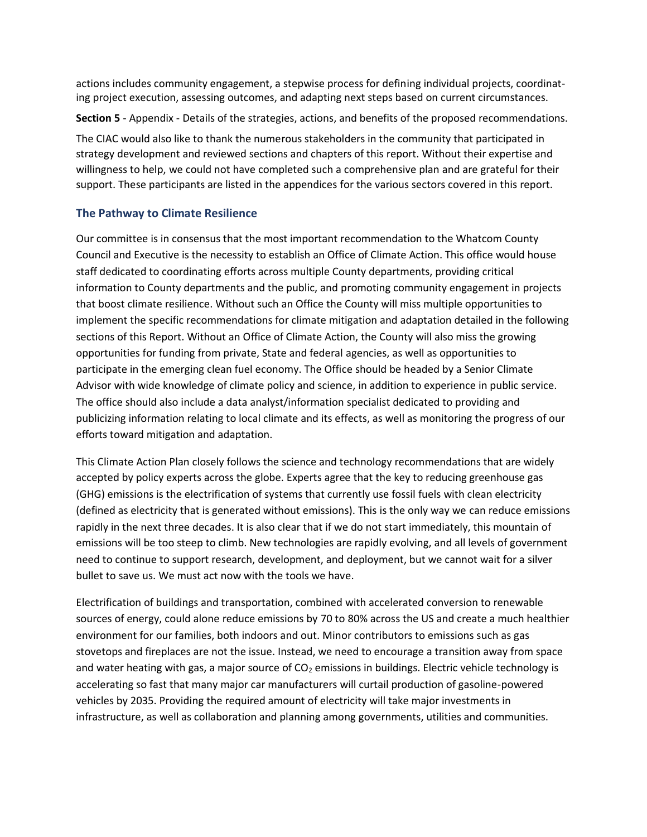actions includes community engagement, a stepwise process for defining individual projects, coordinating project execution, assessing outcomes, and adapting next steps based on current circumstances.

**Section 5** - Appendix - Details of the strategies, actions, and benefits of the proposed recommendations.

The CIAC would also like to thank the numerous stakeholders in the community that participated in strategy development and reviewed sections and chapters of this report. Without their expertise and willingness to help, we could not have completed such a comprehensive plan and are grateful for their support. These participants are listed in the appendices for the various sectors covered in this report.

#### **The Pathway to Climate Resilience**

Our committee is in consensus that the most important recommendation to the Whatcom County Council and Executive is the necessity to establish an Office of Climate Action. This office would house staff dedicated to coordinating efforts across multiple County departments, providing critical information to County departments and the public, and promoting community engagement in projects that boost climate resilience. Without such an Office the County will miss multiple opportunities to implement the specific recommendations for climate mitigation and adaptation detailed in the following sections of this Report. Without an Office of Climate Action, the County will also miss the growing opportunities for funding from private, State and federal agencies, as well as opportunities to participate in the emerging clean fuel economy. The Office should be headed by a Senior Climate Advisor with wide knowledge of climate policy and science, in addition to experience in public service. The office should also include a data analyst/information specialist dedicated to providing and publicizing information relating to local climate and its effects, as well as monitoring the progress of our efforts toward mitigation and adaptation.

This Climate Action Plan closely follows the science and technology recommendations that are widely accepted by policy experts across the globe. Experts agree that the key to reducing greenhouse gas (GHG) emissions is the electrification of systems that currently use fossil fuels with clean electricity (defined as electricity that is generated without emissions). This is the only way we can reduce emissions rapidly in the next three decades. It is also clear that if we do not start immediately, this mountain of emissions will be too steep to climb. New technologies are rapidly evolving, and all levels of government need to continue to support research, development, and deployment, but we cannot wait for a silver bullet to save us. We must act now with the tools we have.

Electrification of buildings and transportation, combined with accelerated conversion to renewable sources of energy, could alone reduce emissions by 70 to 80% across the US and create a much healthier environment for our families, both indoors and out. Minor contributors to emissions such as gas stovetops and fireplaces are not the issue. Instead, we need to encourage a transition away from space and water heating with gas, a major source of  $CO<sub>2</sub>$  emissions in buildings. Electric vehicle technology is accelerating so fast that many major car manufacturers will curtail production of gasoline-powered vehicles by 2035. Providing the required amount of electricity will take major investments in infrastructure, as well as collaboration and planning among governments, utilities and communities.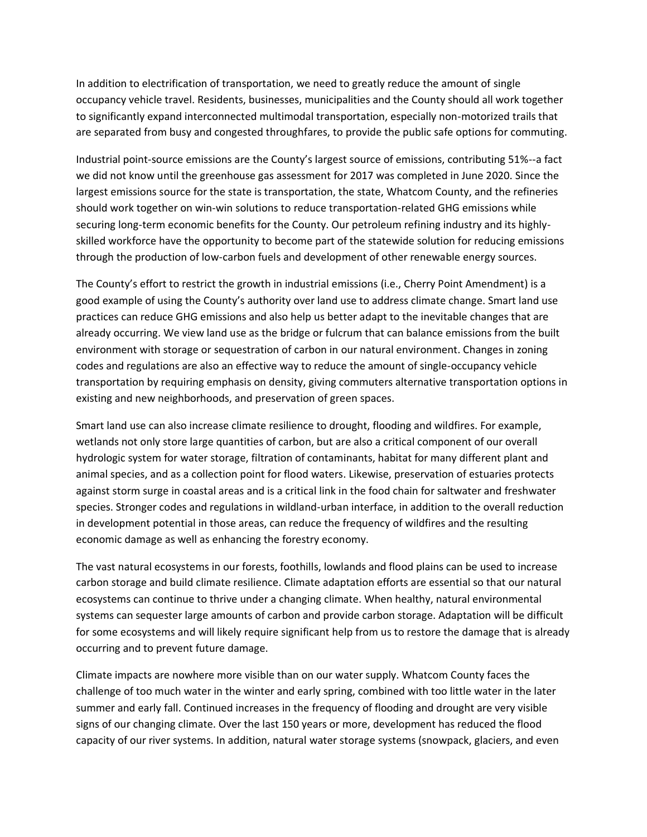In addition to electrification of transportation, we need to greatly reduce the amount of single occupancy vehicle travel. Residents, businesses, municipalities and the County should all work together to significantly expand interconnected multimodal transportation, especially non-motorized trails that are separated from busy and congested throughfares, to provide the public safe options for commuting.

Industrial point-source emissions are the County's largest source of emissions, contributing 51%--a fact we did not know until the greenhouse gas assessment for 2017 was completed in June 2020. Since the largest emissions source for the state is transportation, the state, Whatcom County, and the refineries should work together on win-win solutions to reduce transportation-related GHG emissions while securing long-term economic benefits for the County. Our petroleum refining industry and its highlyskilled workforce have the opportunity to become part of the statewide solution for reducing emissions through the production of low-carbon fuels and development of other renewable energy sources.

The County's effort to restrict the growth in industrial emissions (i.e., Cherry Point Amendment) is a good example of using the County's authority over land use to address climate change. Smart land use practices can reduce GHG emissions and also help us better adapt to the inevitable changes that are already occurring. We view land use as the bridge or fulcrum that can balance emissions from the built environment with storage or sequestration of carbon in our natural environment. Changes in zoning codes and regulations are also an effective way to reduce the amount of single-occupancy vehicle transportation by requiring emphasis on density, giving commuters alternative transportation options in existing and new neighborhoods, and preservation of green spaces.

Smart land use can also increase climate resilience to drought, flooding and wildfires. For example, wetlands not only store large quantities of carbon, but are also a critical component of our overall hydrologic system for water storage, filtration of contaminants, habitat for many different plant and animal species, and as a collection point for flood waters. Likewise, preservation of estuaries protects against storm surge in coastal areas and is a critical link in the food chain for saltwater and freshwater species. Stronger codes and regulations in wildland-urban interface, in addition to the overall reduction in development potential in those areas, can reduce the frequency of wildfires and the resulting economic damage as well as enhancing the forestry economy.

The vast natural ecosystems in our forests, foothills, lowlands and flood plains can be used to increase carbon storage and build climate resilience. Climate adaptation efforts are essential so that our natural ecosystems can continue to thrive under a changing climate. When healthy, natural environmental systems can sequester large amounts of carbon and provide carbon storage. Adaptation will be difficult for some ecosystems and will likely require significant help from us to restore the damage that is already occurring and to prevent future damage.

Climate impacts are nowhere more visible than on our water supply. Whatcom County faces the challenge of too much water in the winter and early spring, combined with too little water in the later summer and early fall. Continued increases in the frequency of flooding and drought are very visible signs of our changing climate. Over the last 150 years or more, development has reduced the flood capacity of our river systems. In addition, natural water storage systems (snowpack, glaciers, and even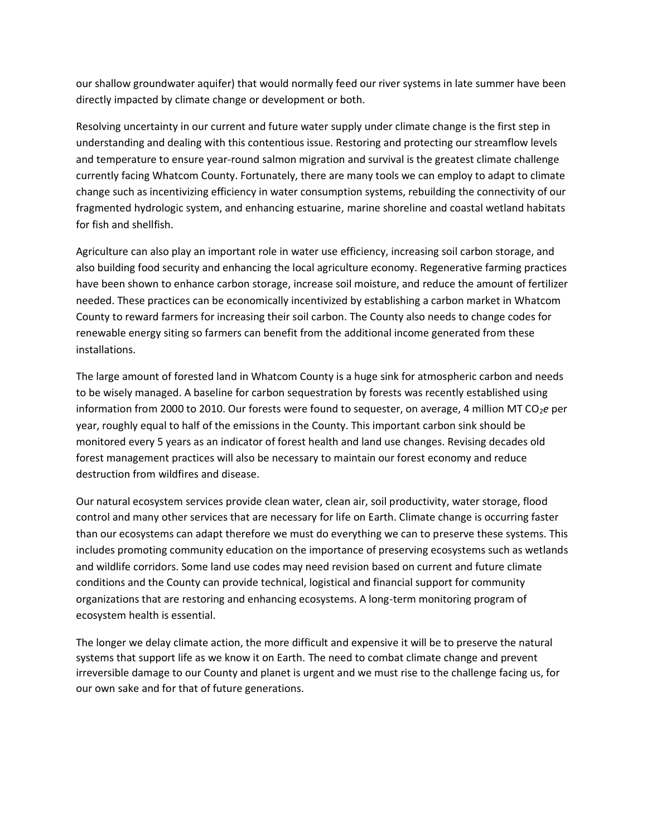our shallow groundwater aquifer) that would normally feed our river systems in late summer have been directly impacted by climate change or development or both.

Resolving uncertainty in our current and future water supply under climate change is the first step in understanding and dealing with this contentious issue. Restoring and protecting our streamflow levels and temperature to ensure year-round salmon migration and survival is the greatest climate challenge currently facing Whatcom County. Fortunately, there are many tools we can employ to adapt to climate change such as incentivizing efficiency in water consumption systems, rebuilding the connectivity of our fragmented hydrologic system, and enhancing estuarine, marine shoreline and coastal wetland habitats for fish and shellfish.

Agriculture can also play an important role in water use efficiency, increasing soil carbon storage, and also building food security and enhancing the local agriculture economy. Regenerative farming practices have been shown to enhance carbon storage, increase soil moisture, and reduce the amount of fertilizer needed. These practices can be economically incentivized by establishing a carbon market in Whatcom County to reward farmers for increasing their soil carbon. The County also needs to change codes for renewable energy siting so farmers can benefit from the additional income generated from these installations.

The large amount of forested land in Whatcom County is a huge sink for atmospheric carbon and needs to be wisely managed. A baseline for carbon sequestration by forests was recently established using information from 2000 to 2010. Our forests were found to sequester, on average, 4 million MT CO<sub>2</sub>e per year, roughly equal to half of the emissions in the County. This important carbon sink should be monitored every 5 years as an indicator of forest health and land use changes. Revising decades old forest management practices will also be necessary to maintain our forest economy and reduce destruction from wildfires and disease.

Our natural ecosystem services provide clean water, clean air, soil productivity, water storage, flood control and many other services that are necessary for life on Earth. Climate change is occurring faster than our ecosystems can adapt therefore we must do everything we can to preserve these systems. This includes promoting community education on the importance of preserving ecosystems such as wetlands and wildlife corridors. Some land use codes may need revision based on current and future climate conditions and the County can provide technical, logistical and financial support for community organizations that are restoring and enhancing ecosystems. A long-term monitoring program of ecosystem health is essential.

The longer we delay climate action, the more difficult and expensive it will be to preserve the natural systems that support life as we know it on Earth. The need to combat climate change and prevent irreversible damage to our County and planet is urgent and we must rise to the challenge facing us, for our own sake and for that of future generations.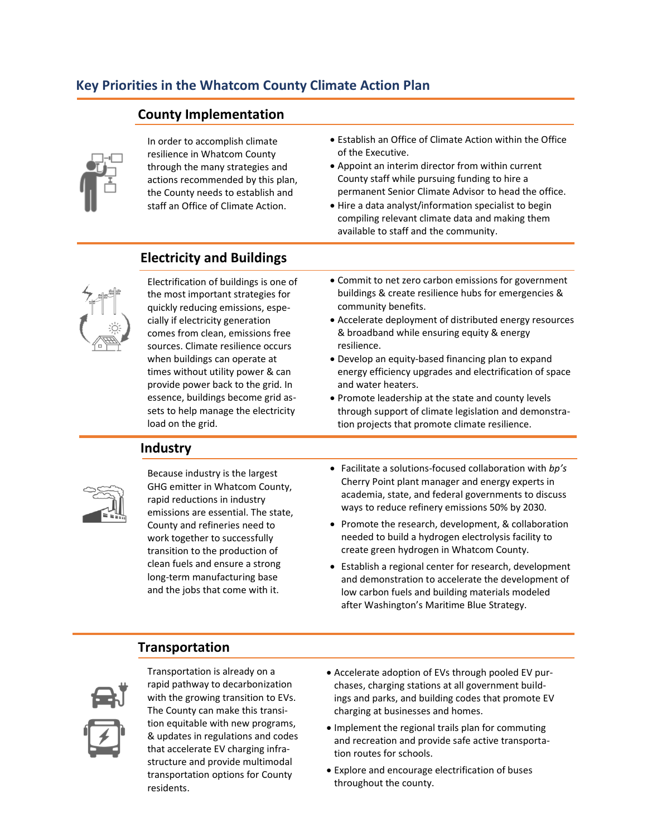# **Key Priorities in the Whatcom County Climate Action Plan**

## **County Implementation**



In order to accomplish climate resilience in Whatcom County through the many strategies and actions recommended by this plan, the County needs to establish and staff an Office of Climate Action.

- Establish an Office of Climate Action within the Office of the Executive.
- Appoint an interim director from within current County staff while pursuing funding to hire a permanent Senior Climate Advisor to head the office.
- Hire a data analyst/information specialist to begin compiling relevant climate data and making them available to staff and the community.

# **Electricity and Buildings**



Electrification of buildings is one of the most important strategies for quickly reducing emissions, especially if electricity generation comes from clean, emissions free sources. Climate resilience occurs when buildings can operate at times without utility power & can provide power back to the grid. In essence, buildings become grid assets to help manage the electricity load on the grid.

- Commit to net zero carbon emissions for government buildings & create resilience hubs for emergencies & community benefits.
- Accelerate deployment of distributed energy resources & broadband while ensuring equity & energy resilience.
- Develop an equity-based financing plan to expand energy efficiency upgrades and electrification of space and water heaters.
- Promote leadership at the state and county levels through support of climate legislation and demonstration projects that promote climate resilience.

## **Industry**



Because industry is the largest GHG emitter in Whatcom County, rapid reductions in industry emissions are essential. The state, County and refineries need to work together to successfully transition to the production of clean fuels and ensure a strong long-term manufacturing base and the jobs that come with it.

- Facilitate a solutions-focused collaboration with *bp's*  Cherry Point plant manager and energy experts in academia, state, and federal governments to discuss ways to reduce refinery emissions 50% by 2030.
- Promote the research, development, & collaboration needed to build a hydrogen electrolysis facility to create green hydrogen in Whatcom County.
- Establish a regional center for research, development and demonstration to accelerate the development of low carbon fuels and building materials modeled after Washington's Maritime Blue Strategy.

## **Transportation**



Transportation is already on a rapid pathway to decarbonization with the growing transition to EVs. The County can make this transition equitable with new programs, & updates in regulations and codes that accelerate EV charging infrastructure and provide multimodal transportation options for County residents.

- Accelerate adoption of EVs through pooled EV purchases, charging stations at all government buildings and parks, and building codes that promote EV charging at businesses and homes.
- Implement the regional trails plan for commuting and recreation and provide safe active transportation routes for schools.
- Explore and encourage electrification of buses throughout the county.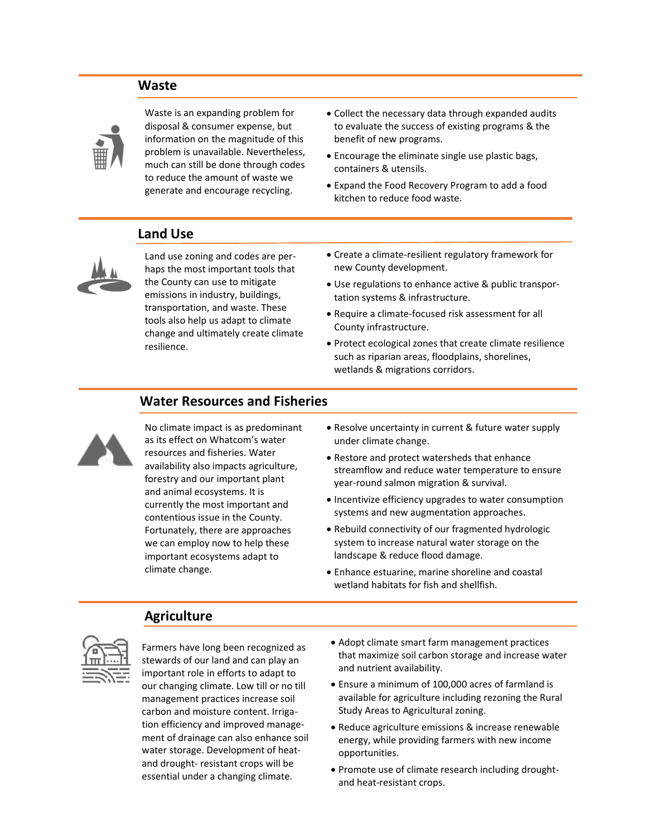## **Waste**



Waste is an expanding problem for disposal & consumer expense, but information on the magnitude of this problem is unavailable. Nevertheless, much can still be done through codes to reduce the amount of waste we generate and encourage recycling.

- Collect the necessary data through expanded audits to evaluate the success of existing programs & the benefit of new programs.
- Encourage the eliminate single use plastic bags, containers & utensils.
- Expand the Food Recovery Program to add a food kitchen to reduce food waste.

### **Land Use**



Land use zoning and codes are perhaps the most important tools that the County can use to mitigate emissions in industry, buildings, transportation, and waste. These tools also help us adapt to climate change and ultimately create climate resilience.

- Create a climate-resilient regulatory framework for new County development.
- Use regulations to enhance active & public transportation systems & infrastructure.
- Require a climate-focused risk assessment for all County infrastructure.
- Protect ecological zones that create climate resilience such as riparian areas, floodplains, shorelines, wetlands & migrations corridors.

## **Water Resources and Fisheries**



No climate impact is as predominant as its effect on Whatcom's water resources and fisheries. Water availability also impacts agriculture, forestry and our important plant and animal ecosystems. It is currently the most important and contentious issue in the County. Fortunately, there are approaches we can employ now to help these important ecosystems adapt to climate change.

- Resolve uncertainty in current & future water supply under climate change.
- Restore and protect watersheds that enhance streamflow and reduce water temperature to ensure year-round salmon migration & survival.
- Incentivize efficiency upgrades to water consumption systems and new augmentation approaches.
- Rebuild connectivity of our fragmented hydrologic system to increase natural water storage on the landscape & reduce flood damage.
- Enhance estuarine, marine shoreline and coastal wetland habitats for fish and shellfish.

#### **Agriculture**



Farmers have long been recognized as stewards of our land and can play an important role in efforts to adapt to our changing climate. Low till or no till management practices increase soil carbon and moisture content. Irrigation efficiency and improved management of drainage can also enhance soil water storage. Development of heatand drought- resistant crops will be essential under a changing climate.

- Adopt climate smart farm management practices that maximize soil carbon storage and increase water and nutrient availability.
- Ensure a minimum of 100,000 acres of farmland is available for agriculture including rezoning the Rural Study Areas to Agricultural zoning.
- Reduce agriculture emissions & increase renewable energy, while providing farmers with new income opportunities.
- Promote use of climate research including droughtand heat-resistant crops.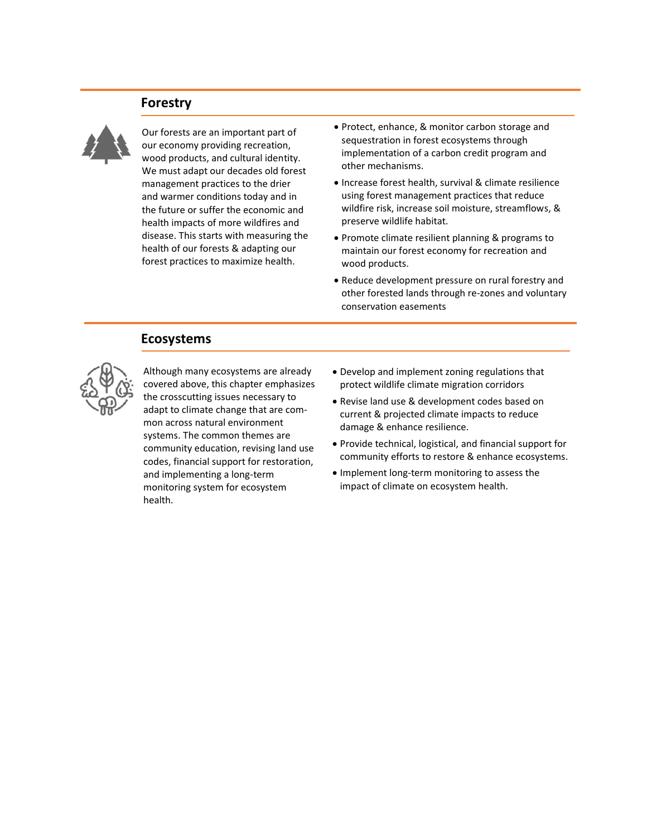### **Forestry**



Our forests are an important part of our economy providing recreation, wood products, and cultural identity. We must adapt our decades old forest management practices to the drier and warmer conditions today and in the future or suffer the economic and health impacts of more wildfires and disease. This starts with measuring the health of our forests & adapting our forest practices to maximize health.

- Protect, enhance, & monitor carbon storage and sequestration in forest ecosystems through implementation of a carbon credit program and other mechanisms.
- Increase forest health, survival & climate resilience using forest management practices that reduce wildfire risk, increase soil moisture, streamflows, & preserve wildlife habitat.
- Promote climate resilient planning & programs to maintain our forest economy for recreation and wood products.
- Reduce development pressure on rural forestry and other forested lands through re-zones and voluntary conservation easements

#### **Ecosystems**



Although many ecosystems are already covered above, this chapter emphasizes the crosscutting issues necessary to adapt to climate change that are common across natural environment systems. The common themes are community education, revising land use codes, financial support for restoration, and implementing a long-term monitoring system for ecosystem health.

- Develop and implement zoning regulations that protect wildlife climate migration corridors
- Revise land use & development codes based on current & projected climate impacts to reduce damage & enhance resilience.
- Provide technical, logistical, and financial support for community efforts to restore & enhance ecosystems.
- Implement long-term monitoring to assess the impact of climate on ecosystem health.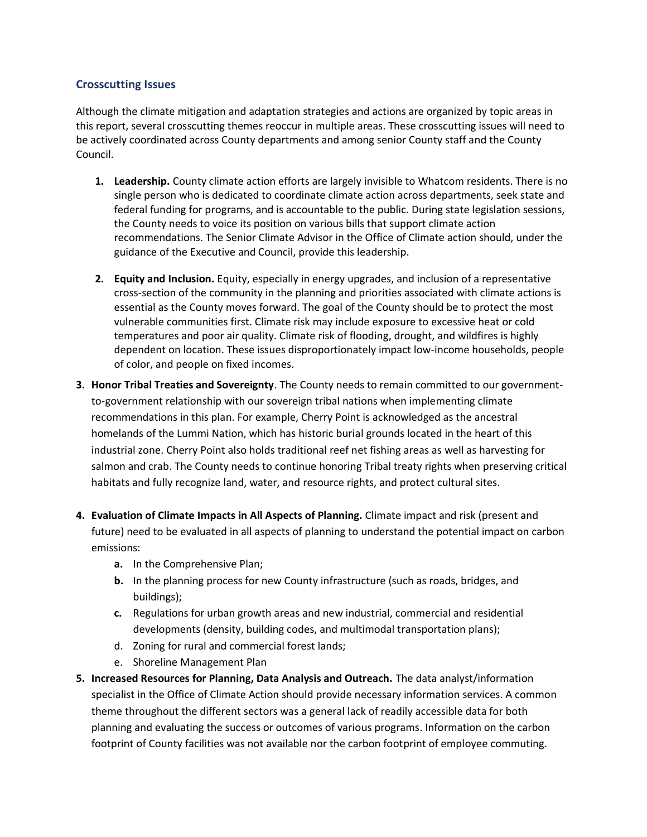#### **Crosscutting Issues**

Although the climate mitigation and adaptation strategies and actions are organized by topic areas in this report, several crosscutting themes reoccur in multiple areas. These crosscutting issues will need to be actively coordinated across County departments and among senior County staff and the County Council.

- **1. Leadership.** County climate action efforts are largely invisible to Whatcom residents. There is no single person who is dedicated to coordinate climate action across departments, seek state and federal funding for programs, and is accountable to the public. During state legislation sessions, the County needs to voice its position on various bills that support climate action recommendations. The Senior Climate Advisor in the Office of Climate action should, under the guidance of the Executive and Council, provide this leadership.
- **2. Equity and Inclusion.** Equity, especially in energy upgrades, and inclusion of a representative cross-section of the community in the planning and priorities associated with climate actions is essential as the County moves forward. The goal of the County should be to protect the most vulnerable communities first. Climate risk may include exposure to excessive heat or cold temperatures and poor air quality. Climate risk of flooding, drought, and wildfires is highly dependent on location. These issues disproportionately impact low-income households, people of color, and people on fixed incomes.
- **3. Honor Tribal Treaties and Sovereignty**. The County needs to remain committed to our governmentto-government relationship with our sovereign tribal nations when implementing climate recommendations in this plan. For example, Cherry Point is acknowledged as the ancestral homelands of the Lummi Nation, which has historic burial grounds located in the heart of this industrial zone. Cherry Point also holds traditional reef net fishing areas as well as harvesting for salmon and crab. The County needs to continue honoring Tribal treaty rights when preserving critical habitats and fully recognize land, water, and resource rights, and protect cultural sites.
- **4. Evaluation of Climate Impacts in All Aspects of Planning.** Climate impact and risk (present and future) need to be evaluated in all aspects of planning to understand the potential impact on carbon emissions:
	- **a.** In the Comprehensive Plan;
	- **b.** In the planning process for new County infrastructure (such as roads, bridges, and buildings);
	- **c.** Regulations for urban growth areas and new industrial, commercial and residential developments (density, building codes, and multimodal transportation plans);
	- d. Zoning for rural and commercial forest lands;
	- e. Shoreline Management Plan
- **5. Increased Resources for Planning, Data Analysis and Outreach.** The data analyst/information specialist in the Office of Climate Action should provide necessary information services. A common theme throughout the different sectors was a general lack of readily accessible data for both planning and evaluating the success or outcomes of various programs. Information on the carbon footprint of County facilities was not available nor the carbon footprint of employee commuting.